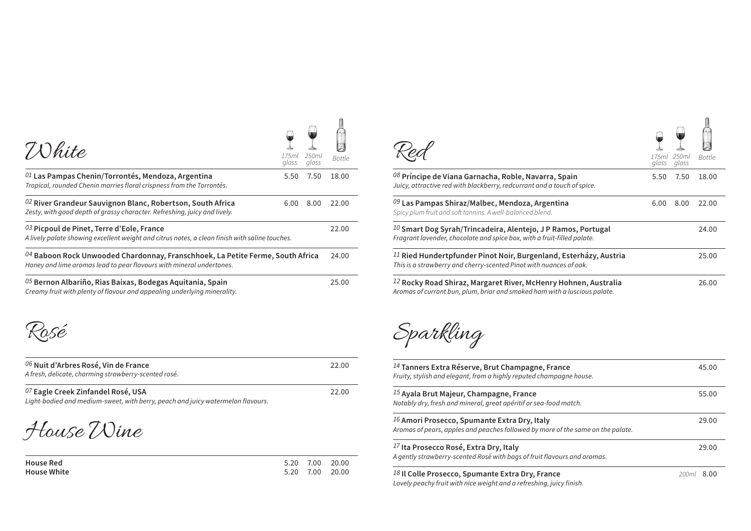| <i><b>Z</b>Ohite</i>                                                                                                                                     | 17.5ml<br>glass | 250ml<br>glass | <b>Bottle</b> |
|----------------------------------------------------------------------------------------------------------------------------------------------------------|-----------------|----------------|---------------|
| $01$ Las Pampas Chenin/Torrontés, Mendoza, Argentina<br>Tropical, rounded Chenin marries floral crispness from the Torrontés.                            | 5.50            | 7.50           | 18.00         |
| 02 River Grandeur Sauvignon Blanc, Robertson, South Africa<br>Zesty, with good depth of grassy character. Refreshing, juicy and lively.                  | 6.00            | 8.00           | 22.00         |
| 03 Picpoul de Pinet, Terre d'Eole, France<br>A lively palate showing excellent weight and citrus notes, a clean finish with saline touches.              |                 |                | 22.00         |
| $04$ Baboon Rock Unwooded Chardonnay, Franschhoek, La Petite Ferme, South Africa<br>Honey and lime aromas lead to pear flavours with mineral undertones. |                 |                | 24.00         |
| $05$ Bernon Albariño, Rias Baixas, Bodegas Aquitania, Spain<br>Creamy fruit with plenty of flavour and appealing underlying minerality.                  |                 |                | 25.00         |

Rosé

| $^{06}$ Nuit d'Arbres Rosé, Vin de France<br>A fresh, delicate, charming strawberry-scented rosé. | 22.00 |
|---------------------------------------------------------------------------------------------------|-------|
| $^{07}$ Eagle Creek Zinfandel Rosé, USA                                                           | 22.00 |

*Light-bodied and medium-sweet, with berry, peach and juicy watermelon flavours.*

House Wine

| <b>House Red</b>   |  | 5.20 7.00 20.00 |
|--------------------|--|-----------------|
| <b>House White</b> |  | 5.20 7.00 20.00 |

| 250ml<br>glass | <b>Bottle</b> |                                                                                                                                                   | 17.5ml<br>glass | 250ml<br>glass | Bottle |
|----------------|---------------|---------------------------------------------------------------------------------------------------------------------------------------------------|-----------------|----------------|--------|
| 7.50           | 18.00         | 08 Príncipe de Viana Garnacha, Roble, Navarra, Spain<br>Juicy, attractive red with blackberry, redcurrant and a touch of spice.                   | 5.50            | 7.50           | 18.00  |
| 8.00           | 22.00         | 09 Las Pampas Shiraz/Malbec, Mendoza, Argentina<br>Spicy plum fruit and soft tannins. A well-balanced blend.                                      | 6.00            | 8.00           | 22.00  |
|                | 22.00         | $10$ Smart Dog Syrah/Trincadeira, Alentejo, J P Ramos, Portugal<br>Fragrant lavender, chocolate and spice box, with a fruit-filled palate.        |                 |                | 24.00  |
| rica           | 24.00         | $^{11}$ Ried Hundertpfunder Pinot Noir, Burgenland, Esterházy, Austria<br>This is a strawberry and cherry-scented Pinot with nuances of oak.      |                 |                | 25.00  |
|                | 25.00         | $^{12}$ Rocky Road Shiraz, Margaret River, McHenry Hohnen, Australia<br>Aromas of currant bun, plum, briar and smoked ham with a luscious palate. |                 |                | 26.00  |

御川

Sparkling

| $14$ Tanners Extra Réserve, Brut Champagne, France<br>Fruity, stylish and elegant, from a highly reputed champagne house.           | 45.00         |
|-------------------------------------------------------------------------------------------------------------------------------------|---------------|
| <sup>15</sup> Ayala Brut Majeur, Champagne, France<br>Notably dry, fresh and mineral, great apéritif or sea-food match.             | 55.00         |
| $16$ Amori Prosecco, Spumante Extra Dry, Italy<br>Aromas of pears, apples and peaches followed by more of the same on the palate.   | 29.00         |
| $17$ Ita Prosecco Rosé, Extra Dry, Italy<br>A gently strawberry-scented Rosé with bags of fruit flavours and aromas.                | 29.00         |
| <sup>18</sup> Il Colle Prosecco, Spumante Extra Dry, France<br>Lovely peachy fruit with nice weight and a refreshing, juicy finish. | 8.00<br>200ml |